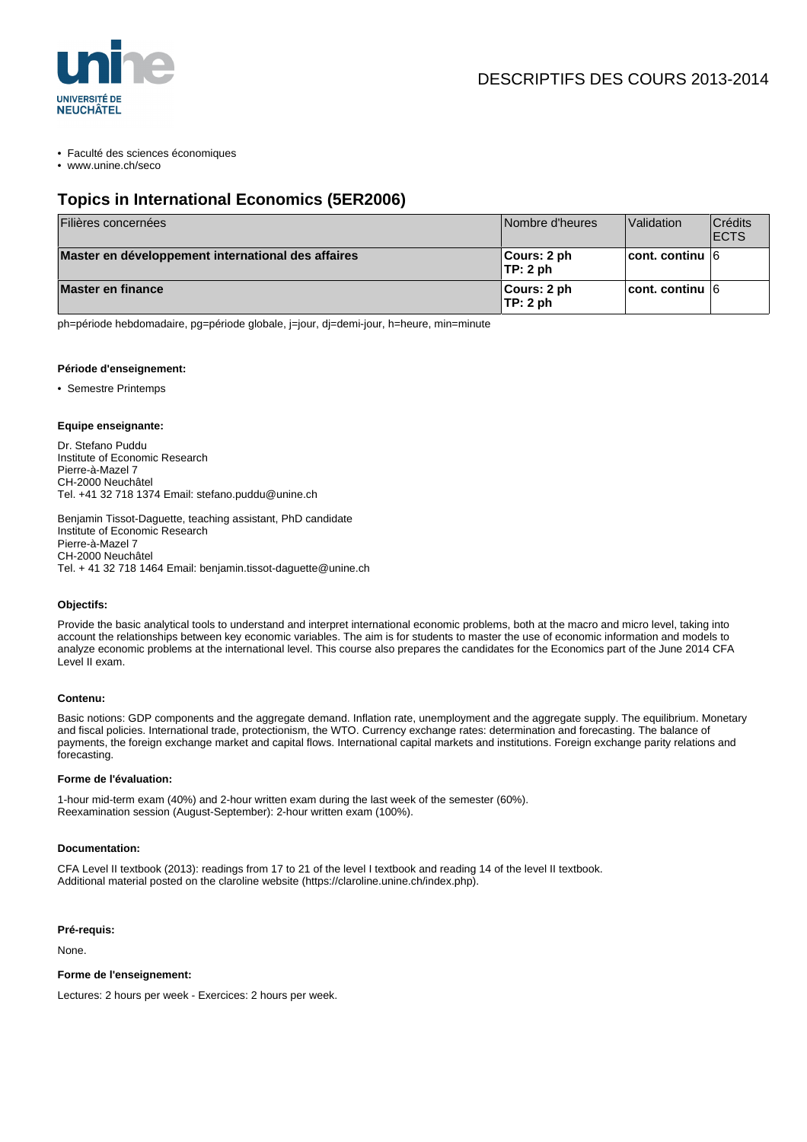

• Faculté des sciences économiques

• www.unine.ch/seco

# **Topics in International Economics (5ER2006)**

| Filières concernées                                | Nombre d'heures              | Validation              | <b>Crédits</b><br><b>IECTS</b> |
|----------------------------------------------------|------------------------------|-------------------------|--------------------------------|
| Master en développement international des affaires | ∥Cours: 2 ph<br>TP: 2 ph     | $ $ cont. continu $ 6 $ |                                |
| Master en finance                                  | $ $ Cours: 2 ph<br>∣TP: 2 ph | ∣cont. continu ∣6       |                                |

ph=période hebdomadaire, pg=période globale, j=jour, dj=demi-jour, h=heure, min=minute

#### **Période d'enseignement:**

• Semestre Printemps

### **Equipe enseignante:**

Dr. Stefano Puddu Institute of Economic Research Pierre-à-Mazel 7 CH-2000 Neuchâtel Tel. +41 32 718 1374 Email: stefano.puddu@unine.ch

Benjamin Tissot-Daguette, teaching assistant, PhD candidate Institute of Economic Research Pierre-à-Mazel 7 CH-2000 Neuchâtel Tel. + 41 32 718 1464 Email: benjamin.tissot-daguette@unine.ch

#### **Objectifs:**

Provide the basic analytical tools to understand and interpret international economic problems, both at the macro and micro level, taking into account the relationships between key economic variables. The aim is for students to master the use of economic information and models to analyze economic problems at the international level. This course also prepares the candidates for the Economics part of the June 2014 CFA Level II exam.

#### **Contenu:**

Basic notions: GDP components and the aggregate demand. Inflation rate, unemployment and the aggregate supply. The equilibrium. Monetary and fiscal policies. International trade, protectionism, the WTO. Currency exchange rates: determination and forecasting. The balance of payments, the foreign exchange market and capital flows. International capital markets and institutions. Foreign exchange parity relations and forecasting.

#### **Forme de l'évaluation:**

1-hour mid-term exam (40%) and 2-hour written exam during the last week of the semester (60%). Reexamination session (August-September): 2-hour written exam (100%).

#### **Documentation:**

CFA Level II textbook (2013): readings from 17 to 21 of the level I textbook and reading 14 of the level II textbook. Additional material posted on the claroline website (https://claroline.unine.ch/index.php).

#### **Pré-requis:**

None.

## **Forme de l'enseignement:**

Lectures: 2 hours per week - Exercices: 2 hours per week.